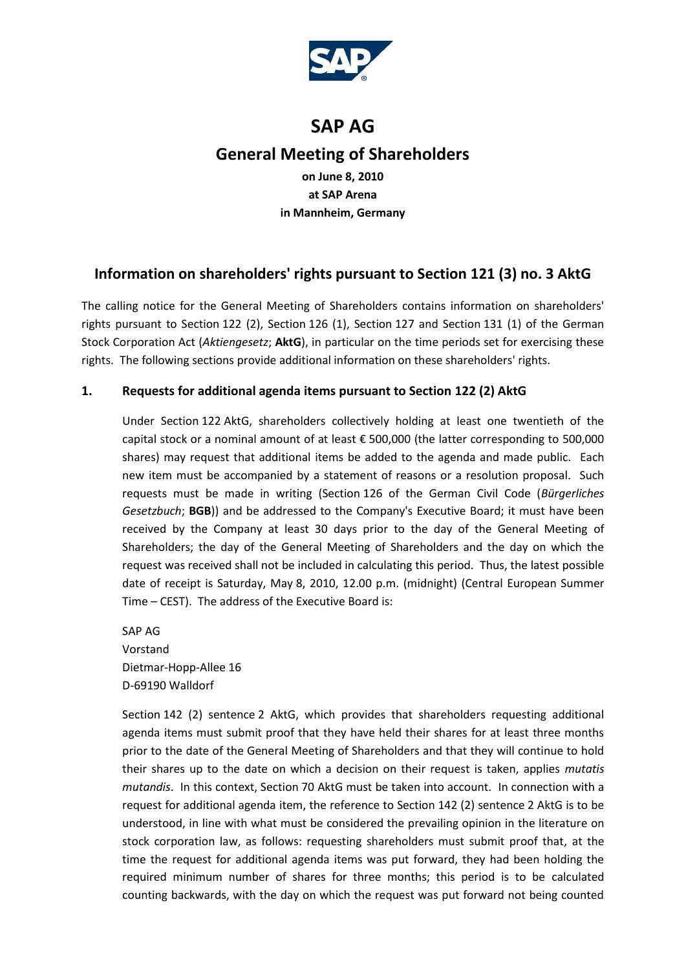

# **SAP AG General Meeting of Shareholders**

**on June 8, 2010 at SAP Arena in Mannheim, Germany**

## **Information on shareholders' rights pursuant to Section 121 (3) no. 3 AktG**

The calling notice for the General Meeting of Shareholders contains information on shareholders' rights pursuant to Section 122 (2), Section 126 (1), Section 127 and Section 131 (1) of the German Stock Corporation Act (*Aktiengesetz*; **AktG**), in particular on the time periods set for exercising these rights. The following sections provide additional information on these shareholders' rights.

## **1. Requests for additional agenda items pursuant to Section 122 (2) AktG**

Under Section 122 AktG, shareholders collectively holding at least one twentieth of the capital stock or a nominal amount of at least € 500,000 (the latter corresponding to 500,000 shares) may request that additional items be added to the agenda and made public. Each new item must be accompanied by a statement of reasons or a resolution proposal. Such requests must be made in writing (Section 126 of the German Civil Code (*Bürgerliches Gesetzbuch*; **BGB**)) and be addressed to the Company's Executive Board; it must have been received by the Company at least 30 days prior to the day of the General Meeting of Shareholders; the day of the General Meeting of Shareholders and the day on which the request was received shall not be included in calculating this period. Thus, the latest possible date of receipt is Saturday, May 8, 2010, 12.00 p.m. (midnight) (Central European Summer Time – CEST). The address of the Executive Board is:

SAP AG Vorstand Dietmar-Hopp-Allee 16 D-69190 Walldorf

Section 142 (2) sentence 2 AktG, which provides that shareholders requesting additional agenda items must submit proof that they have held their shares for at least three months prior to the date of the General Meeting of Shareholders and that they will continue to hold their shares up to the date on which a decision on their request is taken, applies *mutatis mutandis*. In this context, Section 70 AktG must be taken into account. In connection with a request for additional agenda item, the reference to Section 142 (2) sentence 2 AktG is to be understood, in line with what must be considered the prevailing opinion in the literature on stock corporation law, as follows: requesting shareholders must submit proof that, at the time the request for additional agenda items was put forward, they had been holding the required minimum number of shares for three months; this period is to be calculated counting backwards, with the day on which the request was put forward not being counted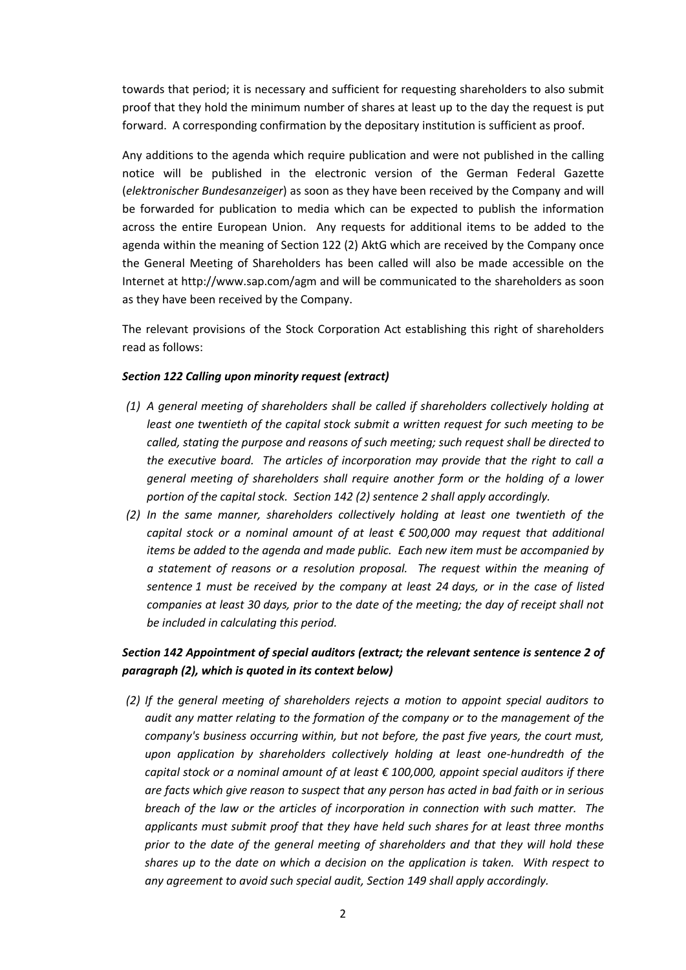towards that period; it is necessary and sufficient for requesting shareholders to also submit proof that they hold the minimum number of shares at least up to the day the request is put forward. A corresponding confirmation by the depositary institution is sufficient as proof.

Any additions to the agenda which require publication and were not published in the calling notice will be published in the electronic version of the German Federal Gazette (*elektronischer Bundesanzeiger*) as soon as they have been received by the Company and will be forwarded for publication to media which can be expected to publish the information across the entire European Union. Any requests for additional items to be added to the agenda within the meaning of Section 122 (2) AktG which are received by the Company once the General Meeting of Shareholders has been called will also be made accessible on the Internet at http://www.sap.com/agm and will be communicated to the shareholders as soon as they have been received by the Company.

The relevant provisions of the Stock Corporation Act establishing this right of shareholders read as follows:

#### *Section 122 Calling upon minority request (extract)*

- *(1) A general meeting of shareholders shall be called if shareholders collectively holding at least one twentieth of the capital stock submit a written request for such meeting to be called, stating the purpose and reasons of such meeting; such request shall be directed to the executive board. The articles of incorporation may provide that the right to call a general meeting of shareholders shall require another form or the holding of a lower portion of the capital stock. Section 142 (2) sentence 2 shall apply accordingly.*
- *(2) In the same manner, shareholders collectively holding at least one twentieth of the capital stock or a nominal amount of at least € 500,000 may request that additional items be added to the agenda and made public. Each new item must be accompanied by a statement of reasons or a resolution proposal. The request within the meaning of sentence 1 must be received by the company at least 24 days, or in the case of listed companies at least 30 days, prior to the date of the meeting; the day of receipt shall not be included in calculating this period.*

### *Section 142 Appointment of special auditors (extract; the relevant sentence is sentence 2 of paragraph (2), which is quoted in its context below)*

*(2) If the general meeting of shareholders rejects a motion to appoint special auditors to audit any matter relating to the formation of the company or to the management of the company's business occurring within, but not before, the past five years, the court must, upon application by shareholders collectively holding at least one-hundredth of the capital stock or a nominal amount of at least € 100,000, appoint special auditors if there are facts which give reason to suspect that any person has acted in bad faith or in serious breach of the law or the articles of incorporation in connection with such matter. The applicants must submit proof that they have held such shares for at least three months prior to the date of the general meeting of shareholders and that they will hold these shares up to the date on which a decision on the application is taken. With respect to any agreement to avoid such special audit, Section 149 shall apply accordingly.*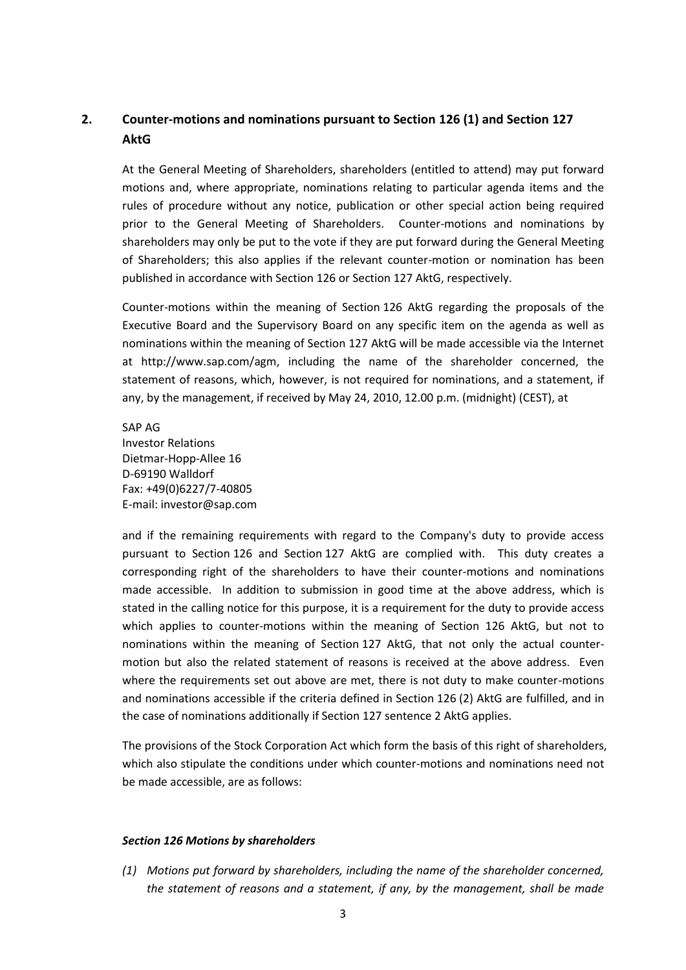## **2. Counter-motions and nominations pursuant to Section 126 (1) and Section 127 AktG**

At the General Meeting of Shareholders, shareholders (entitled to attend) may put forward motions and, where appropriate, nominations relating to particular agenda items and the rules of procedure without any notice, publication or other special action being required prior to the General Meeting of Shareholders. Counter-motions and nominations by shareholders may only be put to the vote if they are put forward during the General Meeting of Shareholders; this also applies if the relevant counter-motion or nomination has been published in accordance with Section 126 or Section 127 AktG, respectively.

Counter-motions within the meaning of Section 126 AktG regarding the proposals of the Executive Board and the Supervisory Board on any specific item on the agenda as well as nominations within the meaning of Section 127 AktG will be made accessible via the Internet at [http://www.sap.com/agm,](http://www.sap.com/agm) including the name of the shareholder concerned, the statement of reasons, which, however, is not required for nominations, and a statement, if any, by the management, if received by May 24, 2010, 12.00 p.m. (midnight) (CEST), at

SAP AG Investor Relations Dietmar-Hopp-Allee 16 D-69190 Walldorf Fax: +49(0)6227/7-40805 E-mail: investor@sap.com

and if the remaining requirements with regard to the Company's duty to provide access pursuant to Section 126 and Section 127 AktG are complied with. This duty creates a corresponding right of the shareholders to have their counter-motions and nominations made accessible. In addition to submission in good time at the above address, which is stated in the calling notice for this purpose, it is a requirement for the duty to provide access which applies to counter-motions within the meaning of Section 126 AktG, but not to nominations within the meaning of Section 127 AktG, that not only the actual countermotion but also the related statement of reasons is received at the above address. Even where the requirements set out above are met, there is not duty to make counter-motions and nominations accessible if the criteria defined in Section 126 (2) AktG are fulfilled, and in the case of nominations additionally if Section 127 sentence 2 AktG applies.

The provisions of the Stock Corporation Act which form the basis of this right of shareholders, which also stipulate the conditions under which counter-motions and nominations need not be made accessible, are as follows:

#### *Section 126 Motions by shareholders*

*(1) Motions put forward by shareholders, including the name of the shareholder concerned, the statement of reasons and a statement, if any, by the management, shall be made*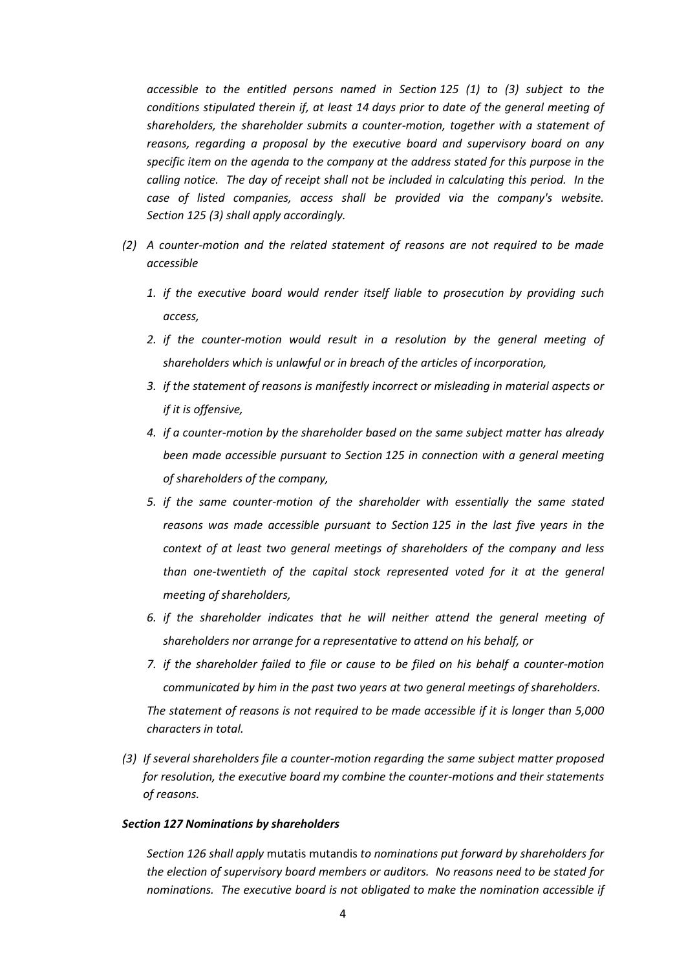*accessible to the entitled persons named in Section 125 (1) to (3) subject to the conditions stipulated therein if, at least 14 days prior to date of the general meeting of shareholders, the shareholder submits a counter-motion, together with a statement of reasons, regarding a proposal by the executive board and supervisory board on any specific item on the agenda to the company at the address stated for this purpose in the calling notice. The day of receipt shall not be included in calculating this period. In the case of listed companies, access shall be provided via the company's website. Section 125 (3) shall apply accordingly.* 

- *(2) A counter-motion and the related statement of reasons are not required to be made accessible* 
	- *1. if the executive board would render itself liable to prosecution by providing such access,*
	- *2. if the counter-motion would result in a resolution by the general meeting of shareholders which is unlawful or in breach of the articles of incorporation,*
	- *3. if the statement of reasons is manifestly incorrect or misleading in material aspects or if it is offensive,*
	- *4. if a counter-motion by the shareholder based on the same subject matter has already been made accessible pursuant to Section 125 in connection with a general meeting of shareholders of the company,*
	- *5. if the same counter-motion of the shareholder with essentially the same stated reasons was made accessible pursuant to Section 125 in the last five years in the context of at least two general meetings of shareholders of the company and less than one-twentieth of the capital stock represented voted for it at the general meeting of shareholders,*
	- *6. if the shareholder indicates that he will neither attend the general meeting of shareholders nor arrange for a representative to attend on his behalf, or*
	- *7. if the shareholder failed to file or cause to be filed on his behalf a counter-motion communicated by him in the past two years at two general meetings of shareholders. The statement of reasons is not required to be made accessible if it is longer than 5,000 characters in total.*
- *(3) If several shareholders file a counter-motion regarding the same subject matter proposed for resolution, the executive board my combine the counter-motions and their statements of reasons.*

#### *Section 127 Nominations by shareholders*

*Section 126 shall apply* mutatis mutandis *to nominations put forward by shareholders for the election of supervisory board members or auditors. No reasons need to be stated for nominations. The executive board is not obligated to make the nomination accessible if*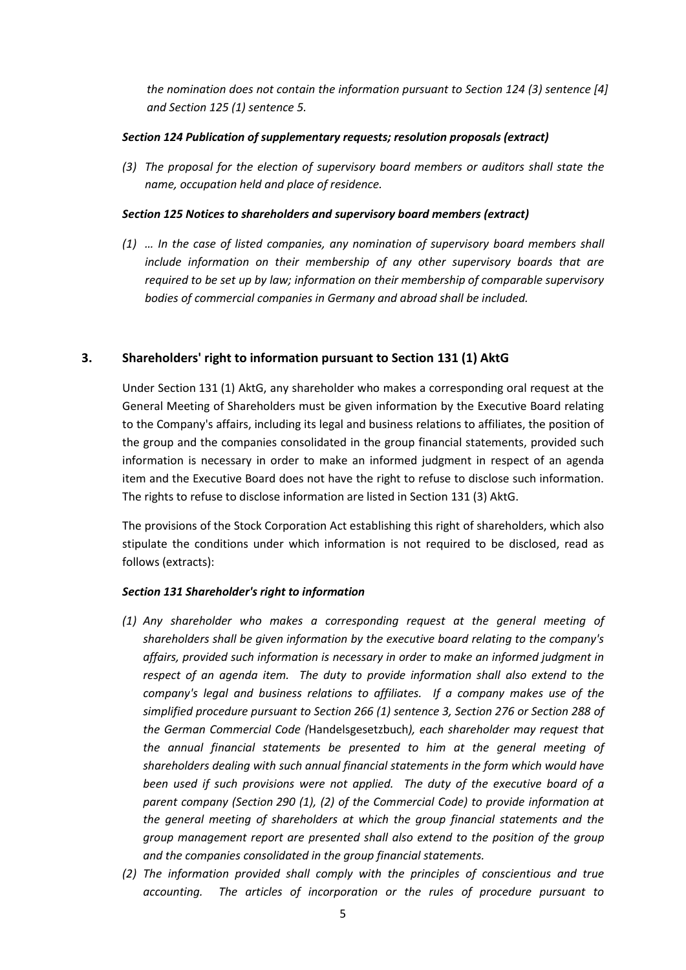*the nomination does not contain the information pursuant to Section 124 (3) sentence [4] and Section 125 (1) sentence 5.*

#### *Section 124 Publication of supplementary requests; resolution proposals (extract)*

*(3) The proposal for the election of supervisory board members or auditors shall state the name, occupation held and place of residence.* 

#### *Section 125 Notices to shareholders and supervisory board members (extract)*

*(1) … In the case of listed companies, any nomination of supervisory board members shall include information on their membership of any other supervisory boards that are required to be set up by law; information on their membership of comparable supervisory bodies of commercial companies in Germany and abroad shall be included.*

#### **3. Shareholders' right to information pursuant to Section 131 (1) AktG**

Under Section 131 (1) AktG, any shareholder who makes a corresponding oral request at the General Meeting of Shareholders must be given information by the Executive Board relating to the Company's affairs, including its legal and business relations to affiliates, the position of the group and the companies consolidated in the group financial statements, provided such information is necessary in order to make an informed judgment in respect of an agenda item and the Executive Board does not have the right to refuse to disclose such information. The rights to refuse to disclose information are listed in Section 131 (3) AktG.

The provisions of the Stock Corporation Act establishing this right of shareholders, which also stipulate the conditions under which information is not required to be disclosed, read as follows (extracts):

#### *Section 131 Shareholder's right to information*

- *(1) Any shareholder who makes a corresponding request at the general meeting of shareholders shall be given information by the executive board relating to the company's affairs, provided such information is necessary in order to make an informed judgment in respect of an agenda item. The duty to provide information shall also extend to the company's legal and business relations to affiliates. If a company makes use of the simplified procedure pursuant to Section 266 (1) sentence 3, Section 276 or Section 288 of the German Commercial Code (*Handelsgesetzbuch*), each shareholder may request that the annual financial statements be presented to him at the general meeting of shareholders dealing with such annual financial statements in the form which would have been used if such provisions were not applied. The duty of the executive board of a parent company (Section 290 (1), (2) of the Commercial Code) to provide information at the general meeting of shareholders at which the group financial statements and the group management report are presented shall also extend to the position of the group and the companies consolidated in the group financial statements.*
- *(2) The information provided shall comply with the principles of conscientious and true accounting. The articles of incorporation or the rules of procedure pursuant to*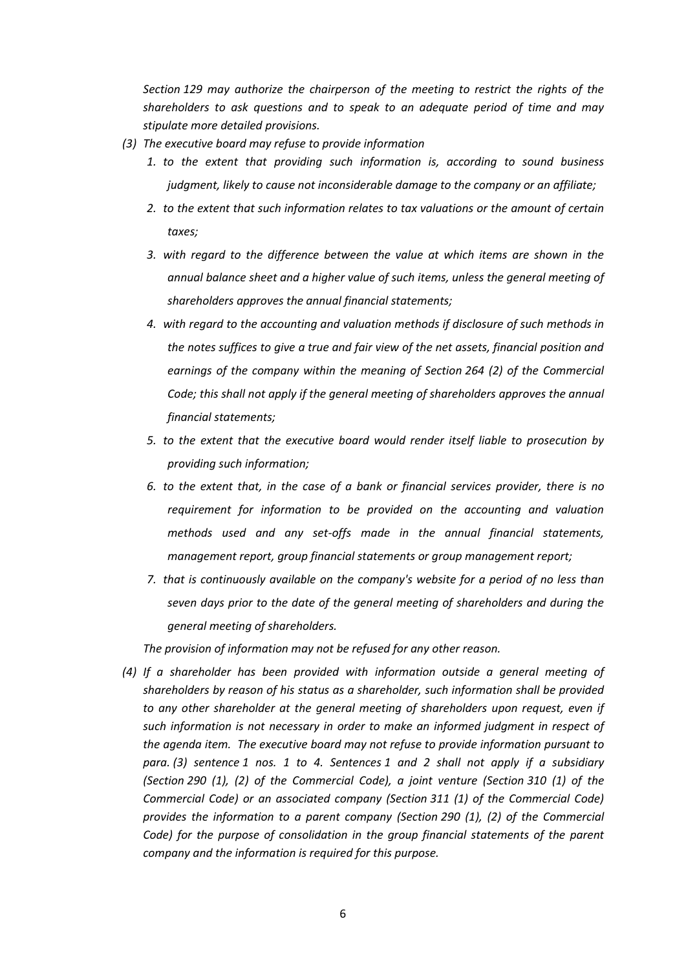*Section 129 may authorize the chairperson of the meeting to restrict the rights of the shareholders to ask questions and to speak to an adequate period of time and may stipulate more detailed provisions.* 

- *(3) The executive board may refuse to provide information* 
	- *1. to the extent that providing such information is, according to sound business judgment, likely to cause not inconsiderable damage to the company or an affiliate;*
	- *2. to the extent that such information relates to tax valuations or the amount of certain taxes;*
	- *3. with regard to the difference between the value at which items are shown in the annual balance sheet and a higher value of such items, unless the general meeting of shareholders approves the annual financial statements;*
	- *4. with regard to the accounting and valuation methods if disclosure of such methods in the notes suffices to give a true and fair view of the net assets, financial position and earnings of the company within the meaning of Section 264 (2) of the Commercial Code; this shall not apply if the general meeting of shareholders approves the annual financial statements;*
	- *5. to the extent that the executive board would render itself liable to prosecution by providing such information;*
	- *6. to the extent that, in the case of a bank or financial services provider, there is no requirement for information to be provided on the accounting and valuation methods used and any set-offs made in the annual financial statements, management report, group financial statements or group management report;*
	- *7. that is continuously available on the company's website for a period of no less than seven days prior to the date of the general meeting of shareholders and during the general meeting of shareholders.*

*The provision of information may not be refused for any other reason.*

*(4) If a shareholder has been provided with information outside a general meeting of shareholders by reason of his status as a shareholder, such information shall be provided to any other shareholder at the general meeting of shareholders upon request, even if such information is not necessary in order to make an informed judgment in respect of the agenda item. The executive board may not refuse to provide information pursuant to para. (3) sentence 1 nos. 1 to 4. Sentences 1 and 2 shall not apply if a subsidiary (Section 290 (1), (2) of the Commercial Code), a joint venture (Section 310 (1) of the Commercial Code) or an associated company (Section 311 (1) of the Commercial Code) provides the information to a parent company (Section 290 (1), (2) of the Commercial Code)* for the purpose of consolidation in the group financial statements of the parent *company and the information is required for this purpose.*